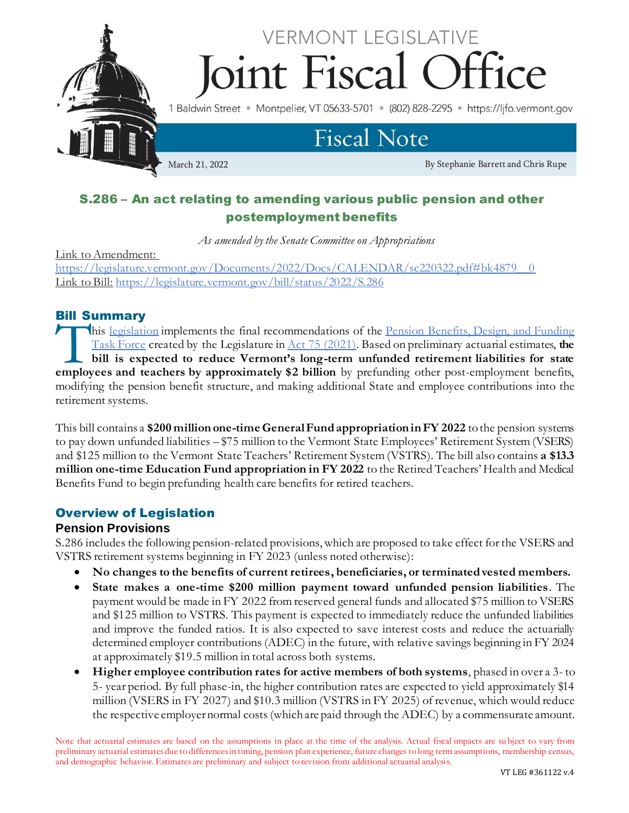

# S.286 – An act relating to amending various public pension and other postemployment benefits

*As amended by the Senate Committee on Appropriations*

Link to Amendment: [https://legislature.vermont.gov/Documents/2022/Docs/CALENDAR/sc220322.pdf#bk4879\\_\\_0](https://legislature.vermont.gov/Documents/2022/Docs/CALENDAR/sc220322.pdf#bk4879__0) Link to Bill: <https://legislature.vermont.gov/bill/status/2022/S.286>

# Bill Summary

his [legislation](https://legislature.vermont.gov/bill/status/2022/S.286) implements the final recommendations of the [Pension Benefits, Design, and Funding](https://legislature.vermont.gov/committee/detail/2022/367)  [Task Force](https://legislature.vermont.gov/committee/detail/2022/367) created by the Legislature in [Act 75 \(2021\)](https://legislature.vermont.gov/Documents/2022/Docs/ACTS/ACT075/ACT075%20As%20Enacted.pdf). Based on preliminary actuarial estimates, **the bill is expected to reduce Vermont's long-term unfunded retirement liabilities for state**  his <u>legislation</u> implements the final recommendations of the <u>Pension Benefits, Design, and Funding</u><br>Task Force created by the Legislature in <u>Act 75 (2021)</u>. Based on preliminary actuarial estimates, the<br>bill is expected modifying the pension benefit structure, and making additional State and employee contributions into the retirement systems.

This bill contains a **\$200 million one-time General Fund appropriation in FY 2022** to the pension systems to pay down unfunded liabilities – \$75 million to the Vermont State Employees' Retirement System (VSERS) and \$125 million to the Vermont State Teachers' Retirement System (VSTRS). The bill also contains **a \$13.3 million one-time Education Fund appropriation in FY 2022** to the Retired Teachers' Health and Medical Benefits Fund to begin prefunding health care benefits for retired teachers.

#### Overview of Legislation

#### **Pension Provisions**

S.286 includes the following pension-related provisions, which are proposed to take effect for the VSERS and VSTRS retirement systems beginning in FY 2023 (unless noted otherwise):

- **No changes to the benefits of current retirees, beneficiaries, or terminated vested members.**
- **State makes a one-time \$200 million payment toward unfunded pension liabilities**. The payment would be made in FY 2022 from reserved general funds and allocated \$75 million to VSERS and \$125 million to VSTRS. This payment is expected to immediately reduce the unfunded liabilities and improve the funded ratios. It is also expected to save interest costs and reduce the actuarially determined employer contributions (ADEC) in the future, with relative savings beginning in FY 2024 at approximately \$19.5 million in total across both systems.
- **Higher employee contribution rates for active members of both systems**, phased in over a 3- to 5- year period. By full phase-in, the higher contribution rates are expected to yield approximately \$14 million (VSERS in FY 2027) and \$10.3 million (VSTRS in FY 2025) of revenue, which would reduce the respective employer normal costs (which are paid through the ADEC) by a commensurate amount.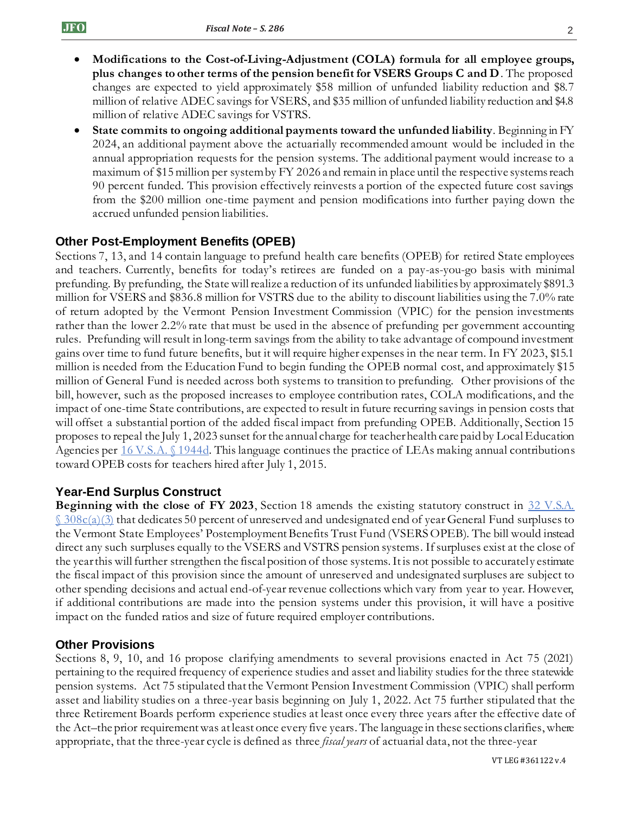- **Modifications to the Cost-of-Living-Adjustment (COLA) formula for all employee groups, plus changes to other terms of the pension benefit for VSERS Groups C and D**. The proposed changes are expected to yield approximately \$58 million of unfunded liability reduction and \$8.7 million of relative ADEC savings for VSERS, and \$35 million of unfunded liability reduction and \$4.8 million of relative ADEC savings for VSTRS.
- **State commits to ongoing additional payments toward the unfunded liability**. Beginning in FY 2024, an additional payment above the actuarially recommended amount would be included in the annual appropriation requests for the pension systems. The additional payment would increase to a maximum of \$15 million per system by FY 2026 and remain in place until the respective systems reach 90 percent funded. This provision effectively reinvests a portion of the expected future cost savings from the \$200 million one-time payment and pension modifications into further paying down the accrued unfunded pension liabilities.

# **Other Post-Employment Benefits (OPEB)**

Sections 7, 13, and 14 contain language to prefund health care benefits (OPEB) for retired State employees and teachers. Currently, benefits for today's retirees are funded on a pay-as-you-go basis with minimal prefunding. By prefunding, the State will realize a reduction of its unfunded liabilities by approximately \$891.3 million for VSERS and \$836.8 million for VSTRS due to the ability to discount liabilities using the 7.0% rate of return adopted by the Vermont Pension Investment Commission (VPIC) for the pension investments rather than the lower 2.2% rate that must be used in the absence of prefunding per government accounting rules. Prefunding will result in long-term savings from the ability to take advantage of compound investment gains over time to fund future benefits, but it will require higher expenses in the near term. In FY 2023, \$15.1 million is needed from the Education Fund to begin funding the OPEB normal cost, and approximately \$15 million of General Fund is needed across both systems to transition to prefunding. Other provisions of the bill, however, such as the proposed increases to employee contribution rates, COLA modifications, and the impact of one-time State contributions, are expected to result in future recurring savings in pension costs that will offset a substantial portion of the added fiscal impact from prefunding OPEB. Additionally, Section 15 proposes to repeal the July 1, 2023 sunset for the annual charge for teacher health care paid by Local Education Agencies per [16 V.S.A. §](https://legislature.vermont.gov/statutes/section/16/055/01944d) 1944d. This language continues the practice of LEAs making annual contributions toward OPEB costs for teachers hired after July 1, 2015.

#### **Year-End Surplus Construct**

**Beginning with the close of FY 2023,** Section 18 amends the existing statutory construct in 32 V.S.A.  $\frac{\S 308c(a)}{3}$  that dedicates 50 percent of unreserved and undesignated end of year General Fund surpluses to the Vermont State Employees' Postemployment Benefits Trust Fund (VSERS OPEB). The bill would instead direct any such surpluses equally to the VSERS and VSTRS pension systems. If surpluses exist at the close of the year this will further strengthen the fiscal position of those systems. It is not possible to accurately estimate the fiscal impact of this provision since the amount of unreserved and undesignated surpluses are subject to other spending decisions and actual end-of-year revenue collections which vary from year to year. However, if additional contributions are made into the pension systems under this provision, it will have a positive impact on the funded ratios and size of future required employer contributions.

#### **Other Provisions**

Sections 8, 9, 10, and 16 propose clarifying amendments to several provisions enacted in Act 75 (2021) pertaining to the required frequency of experience studies and asset and liability studies for the three statewide pension systems. Act 75 stipulated that the Vermont Pension Investment Commission (VPIC) shall perform asset and liability studies on a three-year basis beginning on July 1, 2022. Act 75 further stipulated that the three Retirement Boards perform experience studies at least once every three years after the effective date of the Act–the prior requirement was at least once every five years. The language in these sections clarifies, where appropriate, that the three-year cycle is defined as three *fiscal years* of actuarial data, not the three-year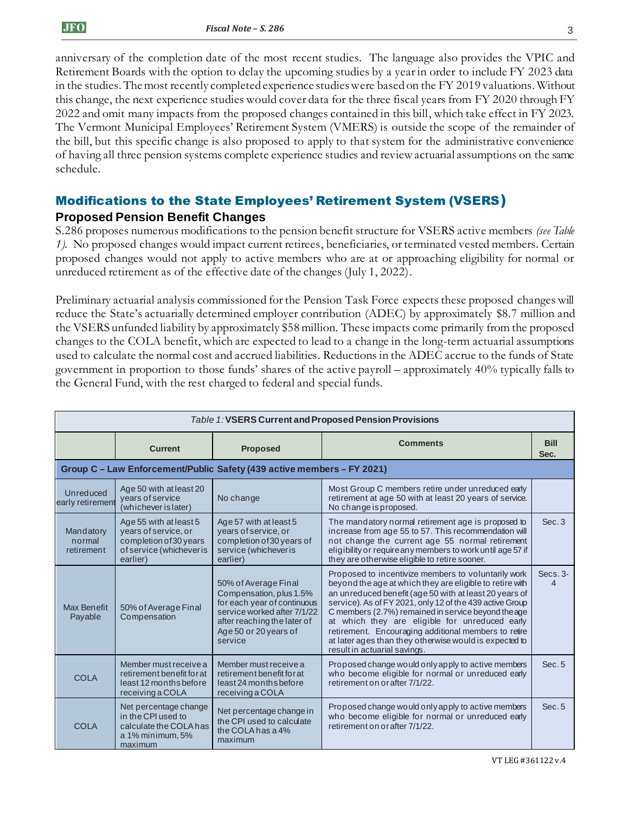anniversary of the completion date of the most recent studies. The language also provides the VPIC and Retirement Boards with the option to delay the upcoming studies by a year in order to include FY 2023 data in the studies. The most recently completed experience studies were based on the FY 2019 valuations. Without this change, the next experience studies would cover data for the three fiscal years from FY 2020 through FY 2022 and omit many impacts from the proposed changes contained in this bill, which take effect in FY 2023. The Vermont Municipal Employees' Retirement System (VMERS) is outside the scope of the remainder of the bill, but this specific change is also proposed to apply to that system for the administrative convenience of having all three pension systems complete experience studies and review actuarial assumptions on the same schedule.

# Modifications to the State Employees' Retirement System (VSERS) **Proposed Pension Benefit Changes**

S.286 proposes numerous modifications to the pension benefit structure for VSERS active members *(see Table 1).* No proposed changes would impact current retirees, beneficiaries, or terminated vested members. Certain proposed changes would not apply to active members who are at or approaching eligibility for normal or unreduced retirement as of the effective date of the changes (July 1, 2022).

Preliminary actuarial analysis commissioned for the Pension Task Force expects these proposed changes will reduce the State's actuarially determined employer contribution (ADEC) by approximately \$8.7 million and the VSERS unfunded liability by approximately \$58 million. These impacts come primarily from the proposed changes to the COLA benefit, which are expected to lead to a change in the long-term actuarial assumptions used to calculate the normal cost and accrued liabilities. Reductions in the ADEC accrue to the funds of State government in proportion to those funds' shares of the active payroll – approximately 40% typically falls to the General Fund, with the rest charged to federal and special funds.

| Table 1: VSERS Current and Proposed Pension Provisions |                                                                                                                  |                                                                                                                                                                                  |                                                                                                                                                                                                                                                                                                                                                                                                                                                                                                  |                     |  |
|--------------------------------------------------------|------------------------------------------------------------------------------------------------------------------|----------------------------------------------------------------------------------------------------------------------------------------------------------------------------------|--------------------------------------------------------------------------------------------------------------------------------------------------------------------------------------------------------------------------------------------------------------------------------------------------------------------------------------------------------------------------------------------------------------------------------------------------------------------------------------------------|---------------------|--|
|                                                        | <b>Current</b>                                                                                                   | <b>Proposed</b>                                                                                                                                                                  | <b>Comments</b>                                                                                                                                                                                                                                                                                                                                                                                                                                                                                  | <b>Bill</b><br>Sec. |  |
|                                                        |                                                                                                                  | Group C - Law Enforcement/Public Safety (439 active members - FY 2021)                                                                                                           |                                                                                                                                                                                                                                                                                                                                                                                                                                                                                                  |                     |  |
| Unreduced<br>early retirement                          | Age 50 with at least 20<br>years of service<br>(whichever is later)                                              | No change                                                                                                                                                                        | Most Group C members retire under unreduced early<br>retirement at age 50 with at least 20 years of service.<br>No change is proposed.                                                                                                                                                                                                                                                                                                                                                           |                     |  |
| Mandatory<br>normal<br>retirement                      | Age 55 with at least 5<br>years of service, or<br>completion of 30 years<br>of service (whichever is<br>earlier) | Age 57 with at least 5<br>years of service, or<br>completion of 30 years of<br>service (whichever is<br>earlier)                                                                 | The mandatory normal retirement age is proposed to<br>increase from age 55 to 57. This recommendation will<br>not change the current age 55 normal retirement<br>eligibility or require any members to work until age 57 if<br>they are otherwise eligible to retire sooner.                                                                                                                                                                                                                     | Sec.3               |  |
| Max Benefit<br>Payable                                 | 50% of Average Final<br>Compensation                                                                             | 50% of Average Final<br>Compensation, plus 1.5%<br>for each year of continuous<br>service worked after 7/1/22<br>after reaching the later of<br>Age 50 or 20 years of<br>service | Proposed to incentivize members to voluntarily work<br>beyond the age at which they are eligible to retire with<br>an unreduced benefit (age 50 with at least 20 years of<br>service). As of FY 2021, only 12 of the 439 active Group<br>C members (2.7%) remained in service beyond the age<br>at which they are eligible for unreduced early<br>retirement. Encouraging additional members to retire<br>at later ages than they otherwise would is expected to<br>result in actuarial savings. | $Secs.3-$           |  |
| <b>COLA</b>                                            | Member must receive a<br>retirement benefit for at<br>least 12 months before<br>receiving a COLA                 | Member must receive a<br>retirement benefit for at<br>least 24 months before<br>receiving a COLA                                                                                 | Proposed change would only apply to active members<br>who become eligible for normal or unreduced early<br>retirement on or after 7/1/22.                                                                                                                                                                                                                                                                                                                                                        | Sec.5               |  |
| <b>COLA</b>                                            | Net percentage change<br>in the CPI used to<br>calculate the COLA has<br>a 1% minimum, 5%<br>maximum             | Net percentage change in<br>the CPI used to calculate<br>the COLA has a 4%<br>maximum                                                                                            | Proposed change would only apply to active members<br>who become eligible for normal or unreduced early<br>retirement on or after 7/1/22.                                                                                                                                                                                                                                                                                                                                                        | Sec. 5              |  |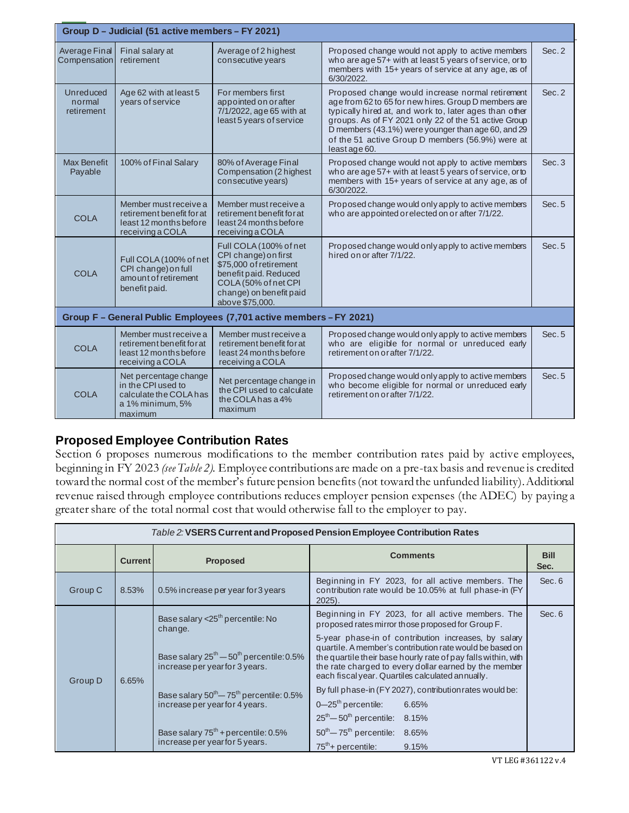| Group D - Judicial (51 active members - FY 2021) |                                                                                                      |                                                                                                                                                                         |                                                                                                                                                                                                                                                                                                                                                       |        |  |
|--------------------------------------------------|------------------------------------------------------------------------------------------------------|-------------------------------------------------------------------------------------------------------------------------------------------------------------------------|-------------------------------------------------------------------------------------------------------------------------------------------------------------------------------------------------------------------------------------------------------------------------------------------------------------------------------------------------------|--------|--|
| Average Final<br>Compensation                    | Final salary at<br>retirement                                                                        | Average of 2 highest<br>consecutive years                                                                                                                               | Proposed change would not apply to active members<br>who are age 57+ with at least 5 years of service, or to<br>members with 15+ years of service at any age, as of<br>6/30/2022.                                                                                                                                                                     | Sec. 2 |  |
| Unreduced<br>normal<br>retirement                | Age 62 with at least 5<br>years of service                                                           | For members first<br>appointed on or after<br>7/1/2022, age 65 with at<br>least 5 years of service                                                                      | Proposed change would increase normal retirement<br>age from 62 to 65 for new hires. Group D members are<br>typically hired at, and work to, later ages than other<br>groups. As of FY 2021 only 22 of the 51 active Group<br>D members (43.1%) were younger than age 60, and 29<br>of the 51 active Group D members (56.9%) were at<br>least age 60. | Sec. 2 |  |
| <b>Max Benefit</b><br>Payable                    | 100% of Final Salary                                                                                 | 80% of Average Final<br>Compensation (2 highest<br>consecutive years)                                                                                                   | Proposed change would not apply to active members<br>who are age 57+ with at least 5 years of service, or to<br>members with 15+ years of service at any age, as of<br>6/30/2022.                                                                                                                                                                     | Sec.3  |  |
| <b>COLA</b>                                      | Member must receive a<br>retirement benefit for at<br>least 12 months before<br>receiving a COLA     | Member must receive a<br>retirement benefit for at<br>least 24 months before<br>receiving a COLA                                                                        | Proposed change would only apply to active members<br>who are appointed or elected on or after 7/1/22.                                                                                                                                                                                                                                                | Sec. 5 |  |
| <b>COLA</b>                                      | Full COLA (100% of net<br>CPI change) on full<br>amount of retirement<br>benefit paid.               | Full COLA (100% of net<br>CPI change) on first<br>\$75,000 of retirement<br>benefit paid. Reduced<br>COLA (50% of net CPI<br>change) on benefit paid<br>above \$75,000. | Proposed change would only apply to active members<br>hired on or after 7/1/22.                                                                                                                                                                                                                                                                       | Sec. 5 |  |
|                                                  |                                                                                                      | Group F - General Public Employees (7,701 active members - FY 2021)                                                                                                     |                                                                                                                                                                                                                                                                                                                                                       |        |  |
| <b>COLA</b>                                      | Member must receive a<br>retirement benefit for at<br>least 12 months before<br>receiving a COLA     | Member must receive a<br>retirement benefit for at<br>least 24 months before<br>receiving a COLA                                                                        | Proposed change would only apply to active members<br>who are eligible for normal or unreduced early<br>retirement on or after 7/1/22.                                                                                                                                                                                                                | Sec. 5 |  |
| <b>COLA</b>                                      | Net percentage change<br>in the CPI used to<br>calculate the COLA has<br>a 1% minimum, 5%<br>maximum | Net percentage change in<br>the CPI used to calculate<br>the COLA has a 4%<br>maximum                                                                                   | Proposed change would only apply to active members<br>who become eligible for normal or unreduced early<br>retirement on or after 7/1/22.                                                                                                                                                                                                             | Sec. 5 |  |

# **Proposed Employee Contribution Rates**

Section 6 proposes numerous modifications to the member contribution rates paid by active employees, beginning in FY 2023 *(see Table 2).* Employee contributions are made on a pre-tax basis and revenue is credited toward the normal cost of the member's future pension benefits (not toward the unfunded liability). Additional revenue raised through employee contributions reduces employer pension expenses (the ADEC) by paying a greater share of the total normal cost that would otherwise fall to the employer to pay.

| Table 2: VSERS Current and Proposed Pension Employee Contribution Rates |                |                                                                                    |                                                                                                                                                                                                                            |                     |  |  |
|-------------------------------------------------------------------------|----------------|------------------------------------------------------------------------------------|----------------------------------------------------------------------------------------------------------------------------------------------------------------------------------------------------------------------------|---------------------|--|--|
|                                                                         | <b>Current</b> | <b>Proposed</b>                                                                    | <b>Comments</b>                                                                                                                                                                                                            | <b>Bill</b><br>Sec. |  |  |
| Group C                                                                 | 8.53%          | 0.5% increase per year for 3 years                                                 | Beginning in FY 2023, for all active members. The<br>contribution rate would be 10.05% at full phase-in (FY)<br>$2025$ ).                                                                                                  | Sec. 6              |  |  |
|                                                                         | 6.65%          | Base salary < 25 <sup>th</sup> percentile: No<br>change.                           | Beginning in FY 2023, for all active members. The<br>proposed rates mirror those proposed for Group F.<br>5-year phase-in of contribution increases, by salary<br>quartile. A member's contribution rate would be based on | Sec. 6              |  |  |
| Group D                                                                 |                | Base salary $25^{th} - 50^{th}$ percentile: 0.5%<br>increase per year for 3 years. | the quartile their base hourly rate of pay falls within, with<br>the rate charged to every dollar earned by the member<br>each fiscal year. Quartiles calculated annually.                                                 |                     |  |  |
|                                                                         |                | Base salary $50^{th} - 75^{th}$ percentile: 0.5%                                   | By full phase-in (FY 2027), contribution rates would be:                                                                                                                                                                   |                     |  |  |
|                                                                         |                | increase per year for 4 years.                                                     | $0 - 25$ <sup>th</sup> percentile:<br>6.65%                                                                                                                                                                                |                     |  |  |
|                                                                         |                |                                                                                    | $25th - 50th$ percentile: 8.15%                                                                                                                                                                                            |                     |  |  |
|                                                                         |                | Base salary $75^{th}$ + percentile: 0.5%<br>increase per year for 5 years.         | $50^{th} - 75^{th}$ percentile: 8.65%                                                                                                                                                                                      |                     |  |  |
|                                                                         |                |                                                                                    | $75th +$ percentile:<br>9.15%                                                                                                                                                                                              |                     |  |  |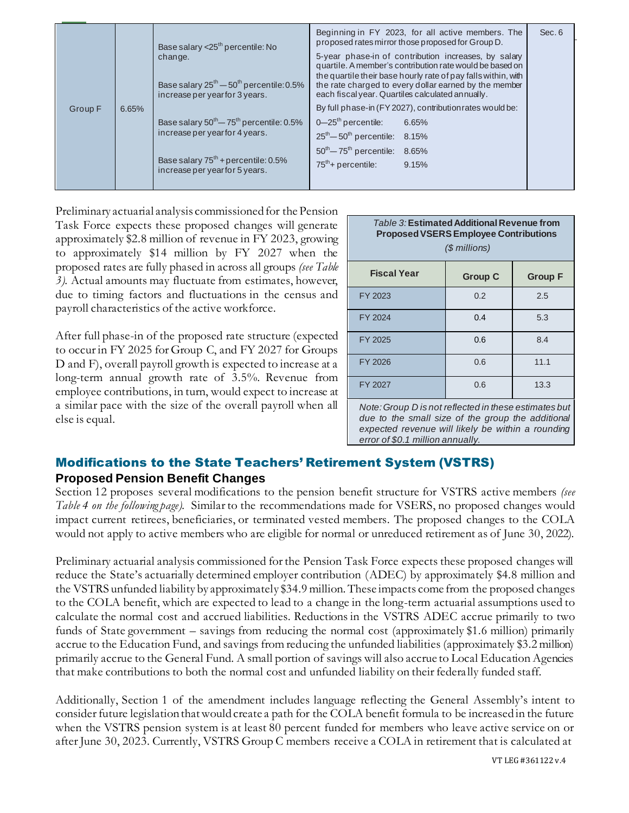|         |       | Base salary $<$ 25 <sup>th</sup> percentile: No<br>change.<br>Base salary $25^{th}$ - $50^{th}$ percentile: 0.5%<br>increase per year for 3 years.            | Beginning in FY 2023, for all active members. The<br>proposed rates mirror those proposed for Group D.<br>5-year phase-in of contribution increases, by salary<br>quartile. A member's contribution rate would be based on<br>the quartile their base hourly rate of pay falls within, with<br>the rate charged to every dollar earned by the member<br>each fiscal year. Quartiles calculated annually. | Sec. 6 |
|---------|-------|---------------------------------------------------------------------------------------------------------------------------------------------------------------|----------------------------------------------------------------------------------------------------------------------------------------------------------------------------------------------------------------------------------------------------------------------------------------------------------------------------------------------------------------------------------------------------------|--------|
| Group F | 6.65% | Base salary $50^{th} - 75^{th}$ percentile: 0.5%<br>increase per year for 4 years.<br>Base salary $75th$ + percentile: 0.5%<br>increase per year for 5 years. | By full phase-in (FY 2027), contribution rates would be:<br>$0 - 25$ <sup>th</sup> percentile:<br>6.65%<br>$25th - 50th$ percentile: 8.15%<br>$50^{th} - 75^{th}$ percentile: 8.65%<br>$75^{th}$ + percentile:<br>9.15%                                                                                                                                                                                  |        |

Preliminary actuarial analysis commissioned for the Pension Task Force expects these proposed changes will generate approximately \$2.8 million of revenue in FY 2023, growing to approximately \$14 million by FY 2027 when the proposed rates are fully phased in across all groups *(see Table 3)*. Actual amounts may fluctuate from estimates, however, due to timing factors and fluctuations in the census and payroll characteristics of the active workforce.

After full phase-in of the proposed rate structure (expected to occur in FY 2025 for Group C, and FY 2027 for Groups D and F), overall payroll growth is expected to increase at a long-term annual growth rate of 3.5%. Revenue from employee contributions, in turn, would expect to increase at a similar pace with the size of the overall payroll when all else is equal.

| Table 3: Estimated Additional Revenue from<br><b>Proposed VSERS Employee Contributions</b><br>(\$ millions) |                |                |  |  |
|-------------------------------------------------------------------------------------------------------------|----------------|----------------|--|--|
| <b>Fiscal Year</b>                                                                                          | <b>Group C</b> | <b>Group F</b> |  |  |
| FY 2023                                                                                                     | 0.2            | 2.5            |  |  |
| FY 2024                                                                                                     | 0.4            | 5.3            |  |  |
| FY 2025                                                                                                     | 0.6            | 8.4            |  |  |
| FY 2026                                                                                                     | 0.6            | 11.1           |  |  |
| FY 2027                                                                                                     | 0.6            | 13.3           |  |  |
|                                                                                                             |                |                |  |  |

*Note: Group D is not reflected in these estimates but due to the small size of the group the additional expected revenue will likely be within a rounding error of \$0.1 million annually.*

# Modifications to the State Teachers' Retirement System (VSTRS) **Proposed Pension Benefit Changes**

Section 12 proposes several modifications to the pension benefit structure for VSTRS active members *(see Table 4 on the following page).* Similar to the recommendations made for VSERS, no proposed changes would impact current retirees, beneficiaries, or terminated vested members. The proposed changes to the COLA would not apply to active members who are eligible for normal or unreduced retirement as of June 30, 2022).

Preliminary actuarial analysis commissioned for the Pension Task Force expects these proposed changes will reduce the State's actuarially determined employer contribution (ADEC) by approximately \$4.8 million and the VSTRS unfunded liability by approximately \$34.9 million. These impacts come from the proposed changes to the COLA benefit, which are expected to lead to a change in the long-term actuarial assumptions used to calculate the normal cost and accrued liabilities. Reductions in the VSTRS ADEC accrue primarily to two funds of State government – savings from reducing the normal cost (approximately \$1.6 million) primarily accrue to the Education Fund, and savings from reducing the unfunded liabilities (approximately \$3.2 million) primarily accrue to the General Fund. A small portion of savings will also accrue to Local Education Agencies that make contributions to both the normal cost and unfunded liability on their federa lly funded staff.

Additionally, Section 1 of the amendment includes language reflecting the General Assembly's intent to consider future legislation that would create a path for the COLA benefit formula to be increased in the future when the VSTRS pension system is at least 80 percent funded for members who leave active service on or after June 30, 2023. Currently, VSTRS Group C members receive a COLA in retirement that is calculated at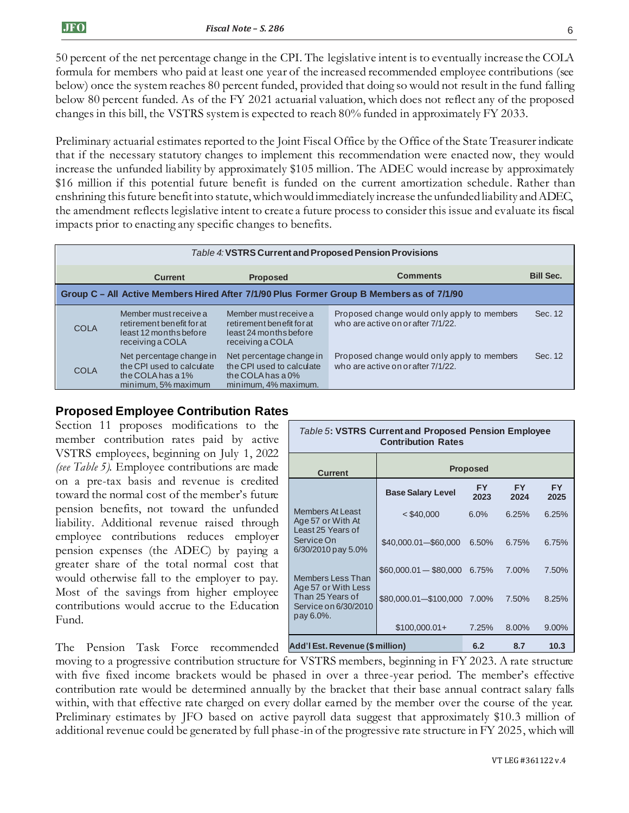50 percent of the net percentage change in the CPI. The legislative intent is to eventually increase the COLA formula for members who paid at least one year of the increased recommended employee contributions (see below) once the system reaches 80 percent funded, provided that doing so would not result in the fund falling below 80 percent funded. As of the FY 2021 actuarial valuation, which does not reflect any of the proposed changes in this bill, the VSTRS system is expected to reach 80% funded in approximately FY 2033.

Preliminary actuarial estimates reported to the Joint Fiscal Office by the Office of the State Treasurer indicate that if the necessary statutory changes to implement this recommendation were enacted now, they would increase the unfunded liability by approximately \$105 million. The ADEC would increase by approximately \$16 million if this potential future benefit is funded on the current amortization schedule. Rather than enshrining this future benefit into statute, which would immediately increase the unfunded liability and ADEC, the amendment reflects legislative intent to create a future process to consider this issue and evaluate its fiscal impacts prior to enacting any specific changes to benefits.

|                                                                                          | Table 4: VSTRS Current and Proposed Pension Provisions                                               |                                                                                                       |                                                                                   |                  |  |  |
|------------------------------------------------------------------------------------------|------------------------------------------------------------------------------------------------------|-------------------------------------------------------------------------------------------------------|-----------------------------------------------------------------------------------|------------------|--|--|
|                                                                                          | <b>Current</b>                                                                                       | <b>Proposed</b>                                                                                       | <b>Comments</b>                                                                   | <b>Bill Sec.</b> |  |  |
| Group C - All Active Members Hired After 7/1/90 Plus Former Group B Members as of 7/1/90 |                                                                                                      |                                                                                                       |                                                                                   |                  |  |  |
| <b>COLA</b>                                                                              | Member must receive a<br>retirement benefit for at<br>least 12 months before<br>receiving a COLA     | Member must receive a<br>retirement benefit for at<br>least 24 months before<br>receiving a COLA      | Proposed change would only apply to members<br>who are active on or after 7/1/22. | Sec. 12          |  |  |
| <b>COLA</b>                                                                              | Net percentage change in<br>the CPI used to calculate<br>the COLA has a $1\%$<br>minimum, 5% maximum | Net percentage change in<br>the CPI used to calculate<br>the COLA has a $0\%$<br>minimum, 4% maximum. | Proposed change would only apply to members<br>who are active on or after 7/1/22. | Sec. 12          |  |  |

#### **Proposed Employee Contribution Rates**

Section 11 proposes modifications to the member contribution rates paid by active VSTRS employees, beginning on July 1, 2022 *(see Table 5).* Employee contributions are made on a pre-tax basis and revenue is credited toward the normal cost of the member's future pension benefits, not toward the unfunded liability. Additional revenue raised through employee contributions reduces employer pension expenses (the ADEC) by paying a greater share of the total normal cost that would otherwise fall to the employer to pay. Most of the savings from higher employee contributions would accrue to the Education Fund.

| <b>Table 5: VSTRS Current and Proposed Pension Employee</b><br><b>Contribution Rates</b> |                          |                   |                   |                   |  |  |
|------------------------------------------------------------------------------------------|--------------------------|-------------------|-------------------|-------------------|--|--|
| <b>Current</b>                                                                           | <b>Proposed</b>          |                   |                   |                   |  |  |
|                                                                                          | <b>Base Salary Level</b> | <b>FY</b><br>2023 | <b>FY</b><br>2024 | <b>FY</b><br>2025 |  |  |
| <b>Members At Least</b><br>Age 57 or With At<br>Least 25 Years of                        | $<$ \$40,000             | 6.0%              | 6.25%             | 6.25%             |  |  |
| Service On<br>6/30/2010 pay 5.0%                                                         | \$40,000.01-\$60,000     | 6.50%             | 6.75%             | 6.75%             |  |  |
| Members Less Than<br>Age 57 or With Less                                                 | $$60,000.01 - $80,000$   | 6.75%             | 7.00%             | 7.50%             |  |  |
| Than 25 Years of<br>Service on 6/30/2010<br>pay 6.0%.                                    | \$80,000.01-\$100,000    | 7.00%             | 7.50%             | 8.25%             |  |  |
|                                                                                          | $$100,000.01+$           | 7.25%             | 8.00%             | 9.00%             |  |  |
| <b>Add'l Est. Revenue (\$ million)</b><br>6.2<br>8.7<br>10.3                             |                          |                   |                   |                   |  |  |

The Pension Task Force recommended

moving to a progressive contribution structure for VSTRS members, beginning in FY 2023. A rate structure with five fixed income brackets would be phased in over a three-year period. The member's effective contribution rate would be determined annually by the bracket that their base annual contract salary falls within, with that effective rate charged on every dollar earned by the member over the course of the year. Preliminary estimates by JFO based on active payroll data suggest that approximately \$10.3 million of additional revenue could be generated by full phase-in of the progressive rate structure in FY 2025, which will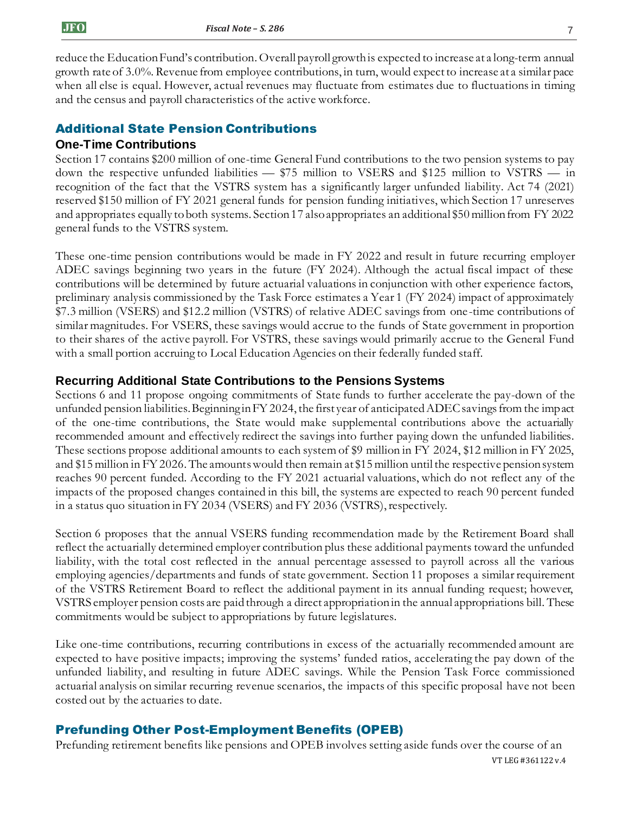reduce the Education Fund's contribution. Overall payroll growth is expected to increase at a long-term annual growth rate of 3.0%. Revenue from employee contributions, in turn, would expect to increase at a similar pace when all else is equal. However, actual revenues may fluctuate from estimates due to fluctuations in timing and the census and payroll characteristics of the active workforce.

#### Additional State Pension Contributions

#### **One-Time Contributions**

Section 17 contains \$200 million of one-time General Fund contributions to the two pension systems to pay down the respective unfunded liabilities — \$75 million to VSERS and \$125 million to VSTRS — in recognition of the fact that the VSTRS system has a significantly larger unfunded liability. Act 74 (2021) reserved \$150 million of FY 2021 general funds for pension funding initiatives, which Section 17 unreserves and appropriates equally to both systems. Section 17 also appropriates an additional \$50 million from FY 2022 general funds to the VSTRS system.

These one-time pension contributions would be made in FY 2022 and result in future recurring employer ADEC savings beginning two years in the future (FY 2024). Although the actual fiscal impact of these contributions will be determined by future actuarial valuations in conjunction with other experience factors, preliminary analysis commissioned by the Task Force estimates a Year 1 (FY 2024) impact of approximately \$7.3 million (VSERS) and \$12.2 million (VSTRS) of relative ADEC savings from one-time contributions of similar magnitudes. For VSERS, these savings would accrue to the funds of State government in proportion to their shares of the active payroll. For VSTRS, these savings would primarily accrue to the General Fund with a small portion accruing to Local Education Agencies on their federally funded staff.

#### **Recurring Additional State Contributions to the Pensions Systems**

Sections 6 and 11 propose ongoing commitments of State funds to further accelerate the pay-down of the unfunded pension liabilities. Beginning in FY 2024, the first year of anticipated ADEC savings from the impact of the one-time contributions, the State would make supplemental contributions above the actuarially recommended amount and effectively redirect the savings into further paying down the unfunded liabilities. These sections propose additional amounts to each system of \$9 million in FY 2024, \$12 million in FY 2025, and \$15 million in FY 2026. The amountswould then remain at \$15 million until the respective pension system reaches 90 percent funded. According to the FY 2021 actuarial valuations, which do not reflect any of the impacts of the proposed changes contained in this bill, the systems are expected to reach 90 percent funded in a status quo situation in FY 2034 (VSERS) and FY 2036 (VSTRS), respectively.

Section 6 proposes that the annual VSERS funding recommendation made by the Retirement Board shall reflect the actuarially determined employer contribution plus these additional payments toward the unfunded liability, with the total cost reflected in the annual percentage assessed to payroll across all the various employing agencies/departments and funds of state government. Section 11 proposes a similar requirement of the VSTRS Retirement Board to reflect the additional payment in its annual funding request; however, VSTRS employer pension costs are paid through a direct appropriation in the annual appropriations bill. These commitments would be subject to appropriations by future legislatures.

Like one-time contributions, recurring contributions in excess of the actuarially recommended amount are expected to have positive impacts; improving the systems' funded ratios, accelerating the pay down of the unfunded liability, and resulting in future ADEC savings. While the Pension Task Force commissioned actuarial analysis on similar recurring revenue scenarios, the impacts of this specific proposal have not been costed out by the actuaries to date.

#### Prefunding Other Post-Employment Benefits (OPEB)

VT LEG #361122 v.4 Prefunding retirement benefits like pensions and OPEB involves setting aside funds over the course of an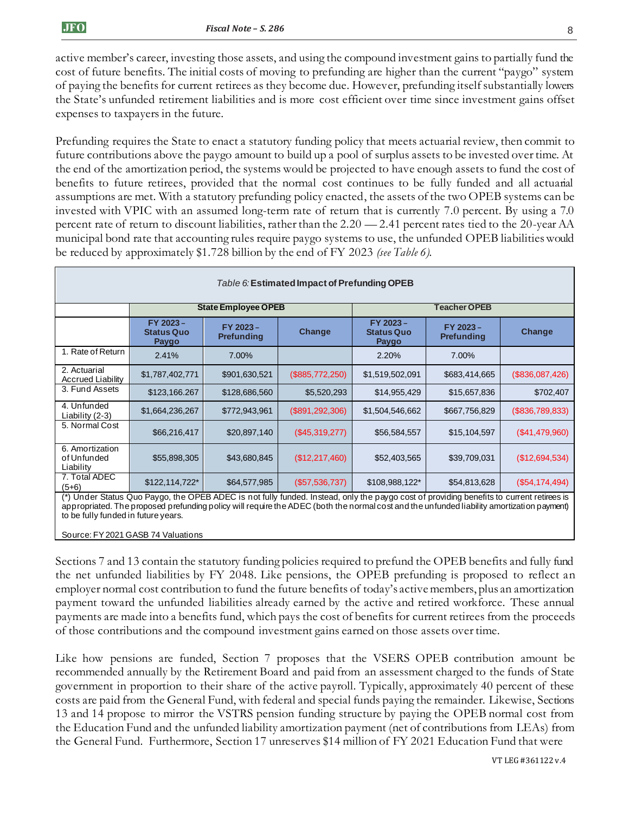active member's career, investing those assets, and using the compound investment gains to partially fund the cost of future benefits. The initial costs of moving to prefunding are higher than the current "paygo" system of paying the benefits for current retirees as they become due. However, prefunding itself substantially lowers the State's unfunded retirement liabilities and is more cost efficient over time since investment gains offset expenses to taxpayers in the future.

Prefunding requires the State to enact a statutory funding policy that meets actuarial review, then commit to future contributions above the paygo amount to build up a pool of surplus assets to be invested over time. At the end of the amortization period, the systems would be projected to have enough assets to fund the cost of benefits to future retirees, provided that the normal cost continues to be fully funded and all actuarial assumptions are met. With a statutory prefunding policy enacted, the assets of the two OPEB systems can be invested with VPIC with an assumed long-term rate of return that is currently 7.0 percent. By using a 7.0 percent rate of return to discount liabilities, rather than the 2.20 — 2.41 percent rates tied to the 20-year AA municipal bond rate that accounting rules require paygo systems to use, the unfunded OPEB liabilities would be reduced by approximately \$1.728 billion by the end of FY 2023 *(see Table 6).*

| Table 6: Estimated Impact of Prefunding OPEB                                                                                                                                                                                                                                                                                 |                                        |                               |                  |                                        |                               |                 |
|------------------------------------------------------------------------------------------------------------------------------------------------------------------------------------------------------------------------------------------------------------------------------------------------------------------------------|----------------------------------------|-------------------------------|------------------|----------------------------------------|-------------------------------|-----------------|
|                                                                                                                                                                                                                                                                                                                              |                                        | <b>State Employee OPEB</b>    |                  |                                        | <b>Teacher OPEB</b>           |                 |
|                                                                                                                                                                                                                                                                                                                              | FY 2023-<br><b>Status Quo</b><br>Paygo | FY 2023-<br><b>Prefunding</b> | Change           | FY 2023-<br><b>Status Quo</b><br>Paygo | FY 2023-<br><b>Prefunding</b> | Change          |
| 1. Rate of Return                                                                                                                                                                                                                                                                                                            | 2.41%                                  | 7.00%                         |                  | 2.20%                                  | 7.00%                         |                 |
| 2. Actuarial<br><b>Accrued Liability</b>                                                                                                                                                                                                                                                                                     | \$1,787,402,771                        | \$901,630,521                 | (\$885,772,250)  | \$1,519,502,091                        | \$683,414,665                 | (\$836,087,426) |
| 3. Fund Assets                                                                                                                                                                                                                                                                                                               | \$123,166.267                          | \$128,686,560                 | \$5,520,293      | \$14,955,429                           | \$15,657,836                  | \$702,407       |
| 4. Unfunded<br>Liability (2-3)                                                                                                                                                                                                                                                                                               | \$1,664,236,267                        | \$772,943,961                 | (S891, 292, 306) | \$1,504,546,662                        | \$667,756,829                 | (\$836,789,833) |
| 5. Normal Cost                                                                                                                                                                                                                                                                                                               | \$66,216,417                           | \$20,897,140                  | (\$45,319,277)   | \$56,584,557                           | \$15,104,597                  | (\$41,479,960)  |
| 6. Amortization<br>of Unfunded<br>Liability                                                                                                                                                                                                                                                                                  | \$55,898,305                           | \$43,680,845                  | (\$12,217,460)   | \$52,403,565                           | \$39,709,031                  | (\$12,694,534)  |
| 7. Total ADEC<br>$(5+6)$                                                                                                                                                                                                                                                                                                     | \$122,114,722*                         | \$64,577,985                  | (\$57,536,737)   | \$108,988,122*                         | \$54,813,628                  | (S54, 174, 494) |
| (*) Under Status Quo Paygo, the OPEB ADEC is not fully funded. Instead, only the paygo cost of providing benefits to current retirees is<br>appropriated. The proposed prefunding policy will require the ADEC (both the normal cost and the unfunded liability amortization payment)<br>to be fully funded in future years. |                                        |                               |                  |                                        |                               |                 |

Source: FY 2021 GASB 74 Valuations

Sections 7 and 13 contain the statutory funding policies required to prefund the OPEB benefits and fully fund the net unfunded liabilities by FY 2048. Like pensions, the OPEB prefunding is proposed to reflect an employer normal cost contribution to fund the future benefits of today's active members, plus an amortization payment toward the unfunded liabilities already earned by the active and retired workforce. These annual payments are made into a benefits fund, which pays the cost of benefits for current retirees from the proceeds of those contributions and the compound investment gains earned on those assets over time.

Like how pensions are funded, Section 7 proposes that the VSERS OPEB contribution amount be recommended annually by the Retirement Board and paid from an assessment charged to the funds of State government in proportion to their share of the active payroll. Typically, approximately 40 percent of these costs are paid from the General Fund, with federal and special funds paying the remainder. Likewise, Sections 13 and 14 propose to mirror the VSTRS pension funding structure by paying the OPEB normal cost from the Education Fund and the unfunded liability amortization payment (net of contributions from LEAs) from the General Fund. Furthermore, Section 17 unreserves \$14 million of FY 2021 Education Fund that were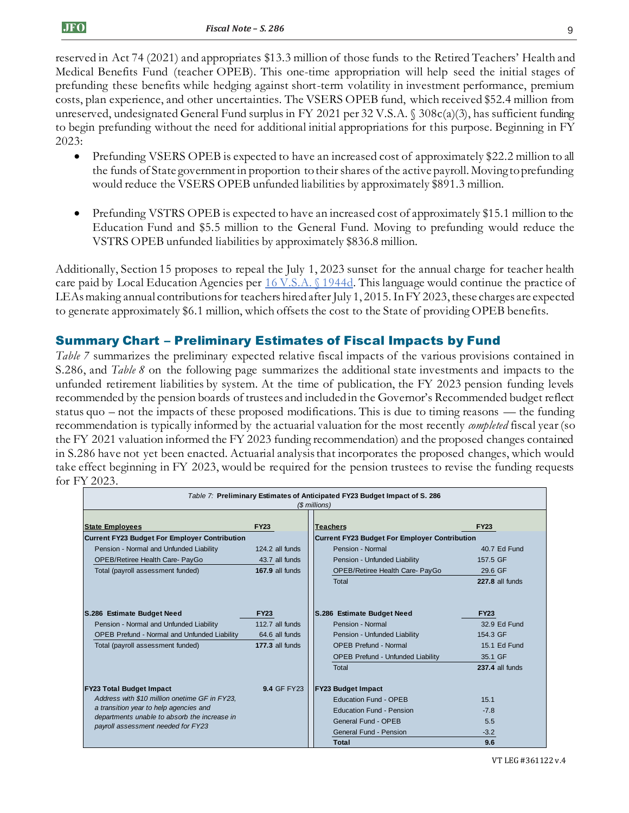reserved in Act 74 (2021) and appropriates \$13.3 million of those funds to the Retired Teachers' Health and Medical Benefits Fund (teacher OPEB). This one-time appropriation will help seed the initial stages of prefunding these benefits while hedging against short-term volatility in investment performance, premium costs, plan experience, and other uncertainties. The VSERS OPEB fund, which received \$52.4 million from unreserved, undesignated General Fund surplus in FY 2021 per 32 V.S.A. § 308c(a)(3), has sufficient funding to begin prefunding without the need for additional initial appropriations for this purpose. Beginning in FY 2023:

- Prefunding VSERS OPEB is expected to have an increased cost of approximately \$22.2 million to all the funds of State government in proportion to their shares of the active payroll. Moving to prefunding would reduce the VSERS OPEB unfunded liabilities by approximately \$891.3 million.
- Prefunding VSTRS OPEB is expected to have an increased cost of approximately \$15.1 million to the Education Fund and \$5.5 million to the General Fund. Moving to prefunding would reduce the VSTRS OPEB unfunded liabilities by approximately \$836.8 million.

Additionally, Section 15 proposes to repeal the July 1, 2023 sunset for the annual charge for teacher health care paid by Local Education Agencies per [16 V.S.A. §](https://legislature.vermont.gov/statutes/section/16/055/01944d) 1944d. This language would continue the practice of LEAs making annual contributions for teachers hired after July 1, 2015.In FY 2023, these charges are expected to generate approximately \$6.1 million, which offsets the cost to the State of providing OPEB benefits.

# Summary Chart – Preliminary Estimates of Fiscal Impacts by Fund

*Table 7* summarizes the preliminary expected relative fiscal impacts of the various provisions contained in S.286, and *Table 8* on the following page summarizes the additional state investments and impacts to the unfunded retirement liabilities by system. At the time of publication, the FY 2023 pension funding levels recommended by the pension boards of trustees and included in the Governor's Recommended budget reflect status quo – not the impacts of these proposed modifications. This is due to timing reasons — the funding recommendation is typically informed by the actuarial valuation for the most recently *completed* fiscal year (so the FY 2021 valuation informed the FY 2023 funding recommendation) and the proposed changes contained in S.286 have not yet been enacted. Actuarial analysis that incorporates the proposed changes, which would take effect beginning in FY 2023, would be required for the pension trustees to revise the funding requests for FY 2023.

| Table 7: Preliminary Estimates of Anticipated FY23 Budget Impact of S. 286<br>(\$ millions) |                    |                                                      |                 |  |
|---------------------------------------------------------------------------------------------|--------------------|------------------------------------------------------|-----------------|--|
| <b>State Employees</b>                                                                      | <b>FY23</b>        | <b>Teachers</b>                                      | <b>FY23</b>     |  |
| <b>Current FY23 Budget For Employer Contribution</b>                                        |                    | <b>Current FY23 Budget For Employer Contribution</b> |                 |  |
| Pension - Normal and Unfunded Liability                                                     | 124.2 all funds    | Pension - Normal                                     | 40.7 Ed Fund    |  |
| OPEB/Retiree Health Care- PayGo                                                             | 43.7 all funds     | Pension - Unfunded Liability                         | 157.5 GF        |  |
| Total (payroll assessment funded)                                                           | 167.9 all funds    | OPEB/Retiree Health Care- PayGo                      | 29.6 GF         |  |
|                                                                                             |                    | Total                                                | 227.8 all funds |  |
| S.286 Estimate Budget Need<br><b>FY23</b>                                                   |                    | S.286 Estimate Budget Need                           | <b>FY23</b>     |  |
| Pension - Normal and Unfunded Liability                                                     | 112.7 all funds    | Pension - Normal                                     | 32.9 Ed Fund    |  |
| <b>OPEB Prefund - Normal and Unfunded Liability</b>                                         | 64.6 all funds     | Pension - Unfunded Liability                         | 154.3 GF        |  |
| Total (payroll assessment funded)                                                           | 177.3 all funds    | <b>OPEB Prefund - Normal</b>                         | 15.1 Ed Fund    |  |
|                                                                                             |                    | <b>OPEB Prefund - Unfunded Liability</b>             | 35.1 GF         |  |
|                                                                                             |                    | Total                                                | 237.4 all funds |  |
| <b>FY23 Total Budget Impact</b>                                                             | <b>9.4 GF FY23</b> | <b>FY23 Budget Impact</b>                            |                 |  |
| Address with \$10 million onetime GF in FY23,                                               |                    | <b>Education Fund - OPEB</b>                         | 15.1            |  |
| a transition year to help agencies and                                                      |                    | <b>Education Fund - Pension</b>                      | $-7.8$          |  |
| departments unable to absorb the increase in<br>payroll assessment needed for FY23          |                    | General Fund - OPEB                                  | 5.5             |  |
|                                                                                             |                    | General Fund - Pension                               | $-3.2$          |  |
|                                                                                             |                    | Total                                                | 9.6             |  |